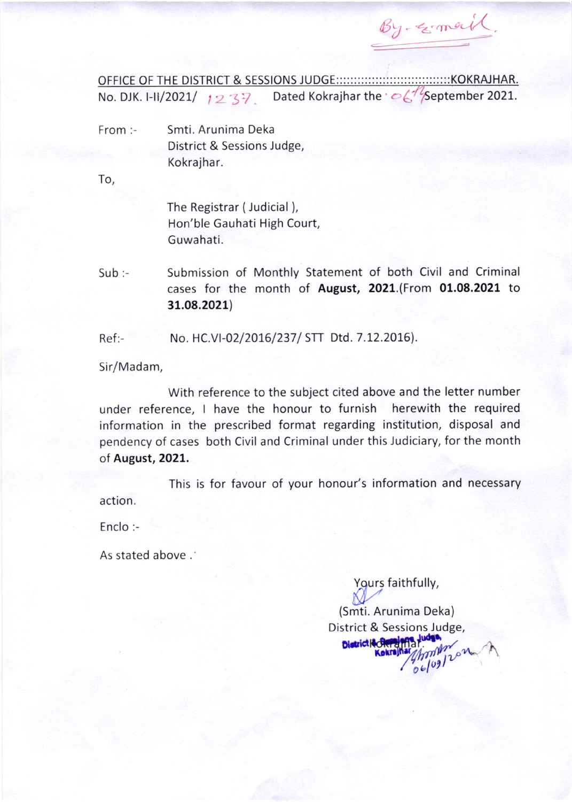By-geometic

No. DJK. I-II/2021/  $1237$  Dated Kokrajhar the  $\sim\!\!\zeta^{1/2}$ September 2021.

From:-Smti, Arunima Deka District & Sessions Judge, Kokrajhar.

To,

The Registrar (Judicial), Hon'ble Gauhati High Court, Guwahati.

Submission of Monthly Statement of both Civil and Criminal  $Sub:$ cases for the month of August, 2021.(From 01.08.2021 to 31.08.2021)

 $Ref: -$ No. HC.VI-02/2016/237/ STT Dtd. 7.12.2016).

Sir/Madam,

With reference to the subject cited above and the letter number under reference, I have the honour to furnish herewith the required information in the prescribed format regarding institution, disposal and pendency of cases both Civil and Criminal under this Judiciary, for the month of August, 2021.

This is for favour of your honour's information and necessary action.

Enclo:-

As stated above .

Yours faithfully,

(Smti. Arunima Deka) District & Sessions Judge, District & Step  $91202$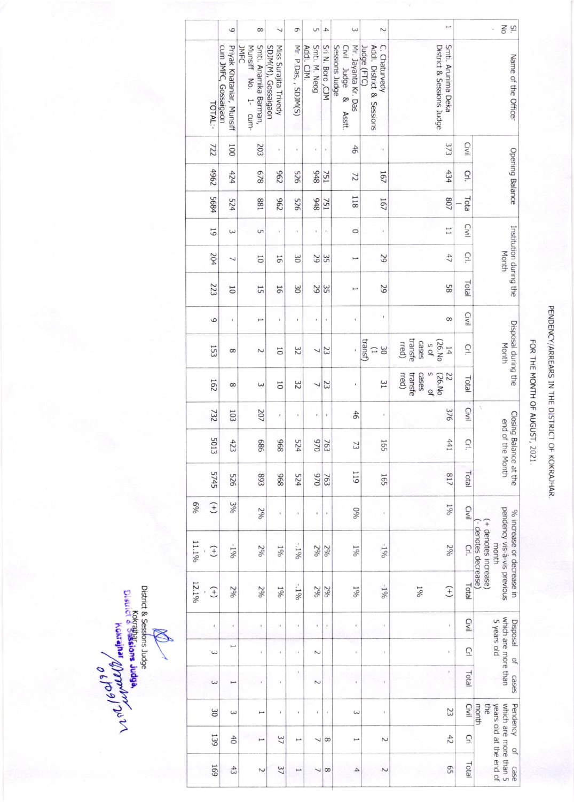|          |                | 6                                                 | 8                                                    | $\overline{\phantom{0}}$                     | 9                                     | S                           | 4                                     | $\omega$                                                                                                                                                                                                                                                                                                                                             | $\sim$                                                    | $\overline{\phantom{0}}$                          |                | $\frac{1}{\sqrt{2}}$<br>$\overline{S}$ .<br>$\epsilon$                                                          |
|----------|----------------|---------------------------------------------------|------------------------------------------------------|----------------------------------------------|---------------------------------------|-----------------------------|---------------------------------------|------------------------------------------------------------------------------------------------------------------------------------------------------------------------------------------------------------------------------------------------------------------------------------------------------------------------------------------------------|-----------------------------------------------------------|---------------------------------------------------|----------------|-----------------------------------------------------------------------------------------------------------------|
|          | TOTAL:-        | Priyak Khataniar, Munsiff<br>cum JMFC, Gossaigaon | Munsiff No. 1- cum-<br>Smti. Anamika Barman,<br>JAFC | SDJM(M), Gossaigaon<br>Miss Surajita Trivedy | Mr. P.Das, , SDJM(S)                  | Addl. CJM.<br>Smti. M. Neog | Sri N. Boro, CJM                      | Mr. Jayanta Kr. Das<br>Sessions<br>Judge<br>Civil Judge &<br>Asstt.                                                                                                                                                                                                                                                                                  | C. Chaturvedy<br>Judge (FTC)<br>Addl. District & Sessions | Smti. Arunima Deka<br>District & Sessions Judge   |                | Name of the Officer                                                                                             |
|          | 722            | 1001                                              | 203                                                  | ï                                            | $\bf i$                               | ï                           | ï                                     | 46                                                                                                                                                                                                                                                                                                                                                   |                                                           | 373                                               | Civil          |                                                                                                                 |
|          | 4962           | 424                                               | 829                                                  | 262                                          | 925                                   | 8+6                         | 751                                   | $\overline{z}$                                                                                                                                                                                                                                                                                                                                       | 167                                                       | 434                                               | GI.            | Opening Balance                                                                                                 |
|          | 5684           | 524                                               | 188                                                  | 262                                          | 925                                   | 8+6                         | 751                                   | 118                                                                                                                                                                                                                                                                                                                                                  | 167                                                       | /08                                               | Tota           |                                                                                                                 |
|          | 61             | $\omega$                                          | S                                                    | $\,$                                         | ×                                     |                             | $\,$                                  | $\circ$                                                                                                                                                                                                                                                                                                                                              |                                                           | $\overline{11}$                                   | Civil          |                                                                                                                 |
|          | 204            | $\overline{\phantom{0}}$                          | $\overline{0}$                                       | 16                                           | 30                                    | 29                          | 35                                    | Ľ                                                                                                                                                                                                                                                                                                                                                    | 52                                                        | 47                                                | Crl.           | Institution during the<br>Month                                                                                 |
|          | 223            | $\overline{0}$                                    | 55                                                   | 16                                           | $\approx$                             | 29                          | 35                                    | $\overline{}$                                                                                                                                                                                                                                                                                                                                        | 29                                                        | 85                                                | Total          |                                                                                                                 |
|          | 6              | $\bf i$                                           | $\overline{ }$                                       | $\overline{\phantom{a}}$                     | ï                                     | $\,$                        | $\mathbf i$                           | $\mathbf{r}$                                                                                                                                                                                                                                                                                                                                         | ï                                                         | 8                                                 | <b>CIVII</b>   |                                                                                                                 |
|          | 153            | 8                                                 | $\sim$                                               | $\overline{0}$                               | 32                                    | $\overline{\phantom{0}}$    | 23                                    |                                                                                                                                                                                                                                                                                                                                                      | (Isuer)<br>$0\,$<br>$\Box$                                | transfe<br>(26.No<br>cases<br>rred)<br>S Of<br>14 | Ğ.             | Disposal during the<br>Month                                                                                    |
|          | 162            | 8                                                 | $\omega$                                             | $\overline{0}$                               | 32                                    | $\overline{\phantom{0}}$    | 23                                    | ı                                                                                                                                                                                                                                                                                                                                                    | Iε                                                        | s of<br>rred)<br>transfe<br>cases<br>(26.No<br>22 | Total          |                                                                                                                 |
|          | 732            | 103                                               | 207                                                  | $\mathbf{r}$                                 | ï                                     |                             | $\pmb{\mathfrak{e}}$                  | 46                                                                                                                                                                                                                                                                                                                                                   | $\mathbf{1}$                                              | 376                                               | Civil          | ś,                                                                                                              |
|          | 5013           | 423                                               | 989                                                  | 896                                          | 524                                   | 026                         | 763                                   | $\overline{2}$                                                                                                                                                                                                                                                                                                                                       | 165                                                       | 441                                               | Cri.           | Closing Balance at the<br>end of the Month                                                                      |
|          | 5745           | 925                                               | 893                                                  | 896                                          | 524                                   | 026                         | 763                                   | 119                                                                                                                                                                                                                                                                                                                                                  | 165                                                       | /18                                               | Total          |                                                                                                                 |
| $6\%$    | $(+)$          | 3%                                                | 206                                                  | $\bar{1}$                                    | t,                                    |                             | $\begin{array}{c} \hline \end{array}$ | 0 <sub>60</sub>                                                                                                                                                                                                                                                                                                                                      | $\mathfrak{t}$                                            | 190                                               | Civil          |                                                                                                                 |
| $11.1\%$ | $^{(+)}$       | $-196$                                            | 2%                                                   | 190                                          | $-196$                                | 2%                          | 2%                                    | 190                                                                                                                                                                                                                                                                                                                                                  | $-190$                                                    | 200                                               | $\overline{G}$ | bendency vis-a-vis previous<br>% increase or decrease in<br>+ denotes increase)<br>- denotes decrease)<br>month |
| 12.1%    | $^{(+)}$       | 2%                                                | 2%                                                   | $\frac{190}{6}$                              | $-196$                                | 2%                          | 2%                                    | 190                                                                                                                                                                                                                                                                                                                                                  | $-190$                                                    | $(+)$<br>190                                      | Total          |                                                                                                                 |
|          | ï              |                                                   | $\,$                                                 |                                              |                                       |                             | ï                                     |                                                                                                                                                                                                                                                                                                                                                      |                                                           | ï                                                 | Civil          | <b>Lisposal</b>                                                                                                 |
|          | $\omega$       | فسنة                                              | $\mathfrak{t}$                                       | ï                                            | $\,$                                  | $\sim$                      |                                       | $\begin{array}{c} \rule{0.2cm}{0.15cm} \rule{0.2cm}{0.15cm} \rule{0.2cm}{0.15cm} \rule{0.2cm}{0.15cm} \rule{0.2cm}{0.15cm} \rule{0.2cm}{0.15cm} \rule{0.2cm}{0.15cm} \rule{0.2cm}{0.15cm} \rule{0.2cm}{0.15cm} \rule{0.2cm}{0.15cm} \rule{0.2cm}{0.15cm} \rule{0.2cm}{0.15cm} \rule{0.2cm}{0.15cm} \rule{0.2cm}{0.15cm} \rule{0.2cm}{0.15cm} \rule{$ | $\bf i$                                                   | ť                                                 | $\overline{C}$ | which are more than<br>5 years old<br>$\frac{1}{2}$                                                             |
|          | $\omega$       | فسؤ                                               |                                                      | ï                                            | $\,$                                  | $\sim$                      |                                       |                                                                                                                                                                                                                                                                                                                                                      |                                                           | ŧ                                                 | Total          | Sase <sub>2</sub>                                                                                               |
|          | $\frac{8}{20}$ | $\epsilon$                                        | مسو                                                  | ł                                            | $\begin{array}{c} \hline \end{array}$ | ŧ                           | ï                                     | $\epsilon$                                                                                                                                                                                                                                                                                                                                           | ï                                                         | 23                                                | Civil          | Pendency<br>month<br>the                                                                                        |
|          | 139            | 40                                                | مبر                                                  | 37                                           |                                       | ┙                           | 8                                     | I                                                                                                                                                                                                                                                                                                                                                    | N                                                         | 42                                                | $\overline{C}$ | $\Omega$                                                                                                        |
|          | 169            | 43                                                | Z                                                    | 37                                           | ⊢                                     | ┙                           | $\infty$                              | 4                                                                                                                                                                                                                                                                                                                                                    | N                                                         | 55                                                | Total          | which are more than 5<br>years old at the end of<br>case                                                        |

bistrict & Sessions Judge<br>District & Sessions Judge<br>District Coverage and March March 21 P

PENDENCY/ARREARS IN THE DISTRICT OF KOKRAJHAR.

FOR THE MONTH OF AUGUST, 2021.